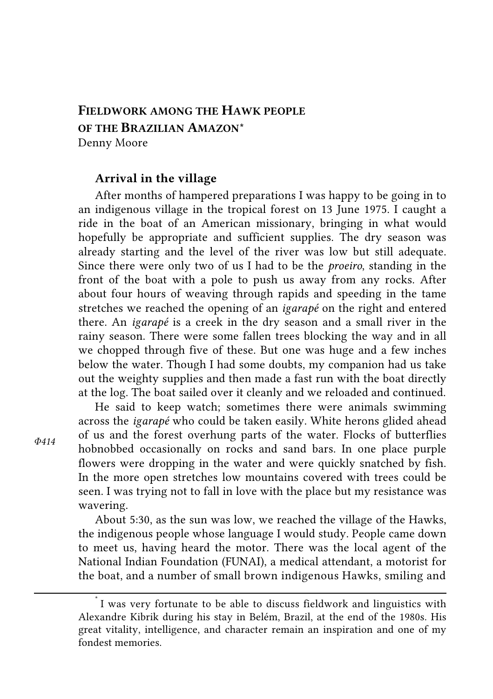Кафедра теоретической (структурной) и прикладной лингвистики

# ЖИЗНЬ КАК ЭКСПЕДИЦИЯ

сборник статей к 50-летию школы полевой лингвистики А. Е. Кибрика и С. В. Кодзасова

Том 2

Москва 2017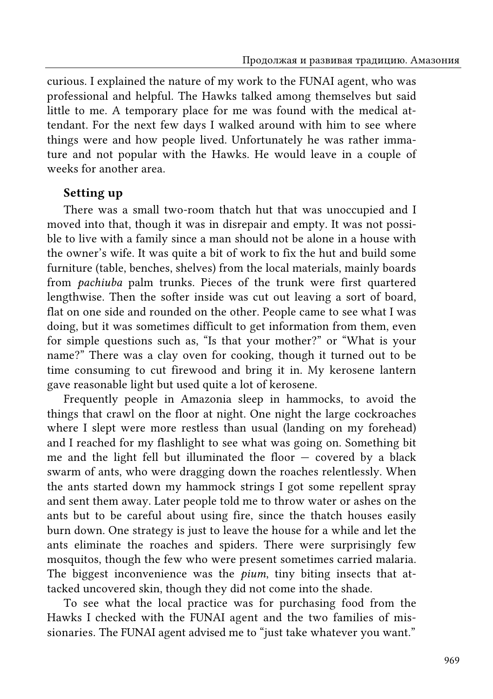УДК 811.161.1.37 ББК 81.2Рус-5 Ж71

Жизнь как экспедиция (сборник статей к 50-летию школы полевой лингвистики А. Е. Кибрика и С. В. Кодзасова) / Ред.-сост. В. А. Плунгян, О. В. Фёдорова. — М.: «Буки Веди», 2017. — xxxv + 866 с. + 184 ил. — в 2-х т.

ISBN 978-5-4465-1388-8

 Настоящая книга представляет собой сборник воспоминаний участников лингвистических экспедиций Отделения теоретической и прикладной лингвистики МГУ под руководством А. Е. Кибрика и С. В. Кодзасова и других связанных с ними полевых исследований. Экспедиционная традиция, основанная А. Е. Кибриком, оказалась уникальным явлением не только в отечественной и мировой лингвистике, но и в социальной действительности 1960-х и последующих годов.

 Для широкого круга лингвистов и нелингвистов, для всех, интересующихся историей отечественной науки второй половины XX века.

> УДК 811.161.1.37 ΒΒΚ 81.2Ργς-5

В оформлении обложки использован рисунок Нины Кибрик, а также фотографии из архива М. Е. Алексеева, В. Ф. Выдрина, М. А. Даниэля, Е. В. Кашкина, А. А. Кибрика, А. Е. Кибрика, А. С. Крыловой, Ю. В. Мазуровой, И. В. Самариной, Н. Р. Сумбатовой и А. В. Шеймович

TSBN 978-5-4465-1388-8 © Авторы, 2017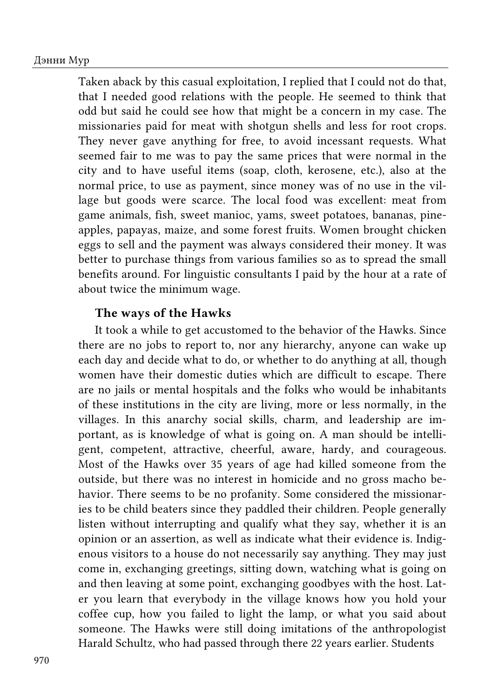# FIELDWORK AMONG THE HAWK PEOPLE OF THE BRAZILIAN AMAZON\* Denny Moore

#### Arrival in the village

After months of hampered preparations I was happy to be going in to an indigenous village in the tropical forest on 13 June 1975. I caught a ride in the boat of an American missionary, bringing in what would hopefully be appropriate and sufficient supplies. The dry season was already starting and the level of the river was low but still adequate. Since there were only two of us I had to be the proeiro, standing in the front of the boat with a pole to push us away from any rocks. After about four hours of weaving through rapids and speeding in the tame stretches we reached the opening of an igarapé on the right and entered there. An igarapé is a creek in the dry season and a small river in the rainy season. There were some fallen trees blocking the way and in all we chopped through five of these. But one was huge and a few inches below the water. Though I had some doubts, my companion had us take out the weighty supplies and then made a fast run with the boat directly at the log. The boat sailed over it cleanly and we reloaded and continued.

He said to keep watch; sometimes there were animals swimming across the igarapé who could be taken easily. White herons glided ahead of us and the forest overhung parts of the water. Flocks of butterflies hobnobbed occasionally on rocks and sand bars. In one place purple flowers were dropping in the water and were quickly snatched by fish. In the more open stretches low mountains covered with trees could be seen. I was trying not to fall in love with the place but my resistance was wavering.

About 5:30, as the sun was low, we reached the village of the Hawks, the indigenous people whose language I would study. People came down to meet us, having heard the motor. There was the local agent of the National Indian Foundation (FUNAI), a medical attendant, a motorist for the boat, and a number of small brown indigenous Hawks, smiling and

Ф414

I was very fortunate to be able to discuss fieldwork and linguistics with Alexandre Kibrik during his stay in Belém, Brazil, at the end of the 1980s. His great vitality, intelligence, and character remain an inspiration and one of my fondest memories.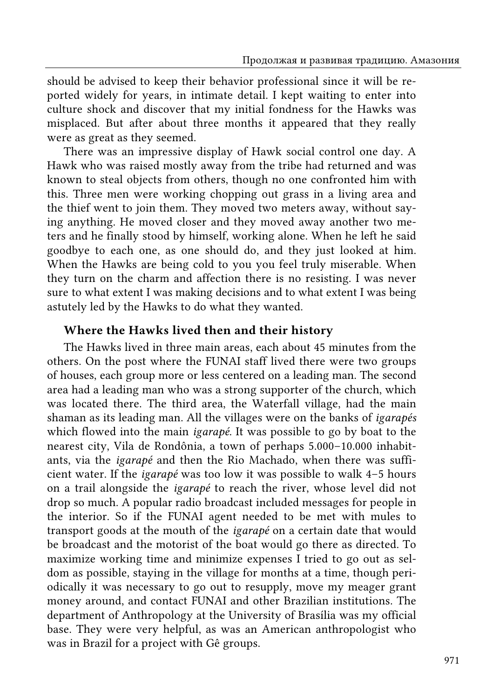curious. I explained the nature of my work to the FUNAI agent, who was professional and helpful. The Hawks talked among themselves but said little to me. A temporary place for me was found with the medical attendant. For the next few days I walked around with him to see where things were and how people lived. Unfortunately he was rather immature and not popular with the Hawks. He would leave in a couple of weeks for another area.

#### Setting up

There was a small two-room thatch hut that was unoccupied and I moved into that, though it was in disrepair and empty. It was not possible to live with a family since a man should not be alone in a house with the owner's wife. It was quite a bit of work to fix the hut and build some furniture (table, benches, shelves) from the local materials, mainly boards from pachiuba palm trunks. Pieces of the trunk were first quartered lengthwise. Then the softer inside was cut out leaving a sort of board, flat on one side and rounded on the other. People came to see what I was doing, but it was sometimes difficult to get information from them, even for simple questions such as, "Is that your mother?" or "What is your name?" There was a clay oven for cooking, though it turned out to be time consuming to cut firewood and bring it in. My kerosene lantern gave reasonable light but used quite a lot of kerosene.

Frequently people in Amazonia sleep in hammocks, to avoid the things that crawl on the floor at night. One night the large cockroaches where I slept were more restless than usual (landing on my forehead) and I reached for my flashlight to see what was going on. Something bit me and the light fell but illuminated the floor — covered by a black swarm of ants, who were dragging down the roaches relentlessly. When the ants started down my hammock strings I got some repellent spray and sent them away. Later people told me to throw water or ashes on the ants but to be careful about using fire, since the thatch houses easily burn down. One strategy is just to leave the house for a while and let the ants eliminate the roaches and spiders. There were surprisingly few mosquitos, though the few who were present sometimes carried malaria. The biggest inconvenience was the *pium*, tiny biting insects that attacked uncovered skin, though they did not come into the shade.

To see what the local practice was for purchasing food from the Hawks I checked with the FUNAI agent and the two families of missionaries. The FUNAI agent advised me to "just take whatever you want."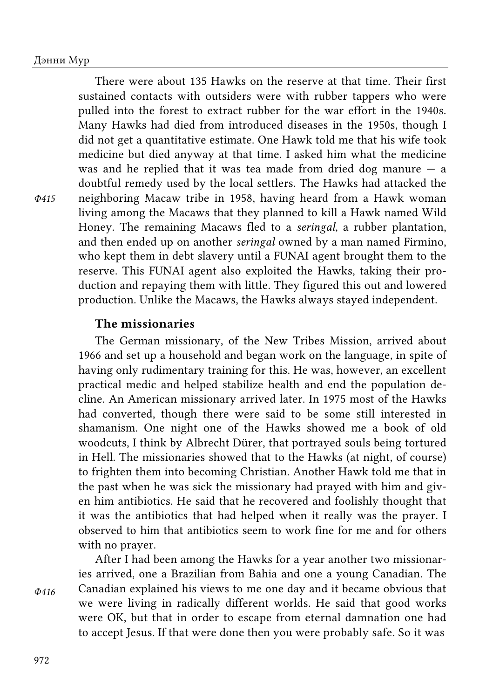Taken aback by this casual exploitation, I replied that I could not do that, that I needed good relations with the people. He seemed to think that odd but said he could see how that might be a concern in my case. The missionaries paid for meat with shotgun shells and less for root crops. They never gave anything for free, to avoid incessant requests. What seemed fair to me was to pay the same prices that were normal in the city and to have useful items (soap, cloth, kerosene, etc.), also at the normal price, to use as payment, since money was of no use in the village but goods were scarce. The local food was excellent: meat from game animals, fish, sweet manioc, yams, sweet potatoes, bananas, pineapples, papayas, maize, and some forest fruits. Women brought chicken eggs to sell and the payment was always considered their money. It was better to purchase things from various families so as to spread the small benefits around. For linguistic consultants I paid by the hour at a rate of about twice the minimum wage.

#### The ways of the Hawks

It took a while to get accustomed to the behavior of the Hawks. Since there are no jobs to report to, nor any hierarchy, anyone can wake up each day and decide what to do, or whether to do anything at all, though women have their domestic duties which are difficult to escape. There are no jails or mental hospitals and the folks who would be inhabitants of these institutions in the city are living, more or less normally, in the villages. In this anarchy social skills, charm, and leadership are important, as is knowledge of what is going on. A man should be intelligent, competent, attractive, cheerful, aware, hardy, and courageous. Most of the Hawks over 35 years of age had killed someone from the outside, but there was no interest in homicide and no gross macho behavior. There seems to be no profanity. Some considered the missionaries to be child beaters since they paddled their children. People generally listen without interrupting and qualify what they say, whether it is an opinion or an assertion, as well as indicate what their evidence is. Indigenous visitors to a house do not necessarily say anything. They may just come in, exchanging greetings, sitting down, watching what is going on and then leaving at some point, exchanging goodbyes with the host. Later you learn that everybody in the village knows how you hold your coffee cup, how you failed to light the lamp, or what you said about someone. The Hawks were still doing imitations of the anthropologist Harald Schultz, who had passed through there 22 years earlier. Students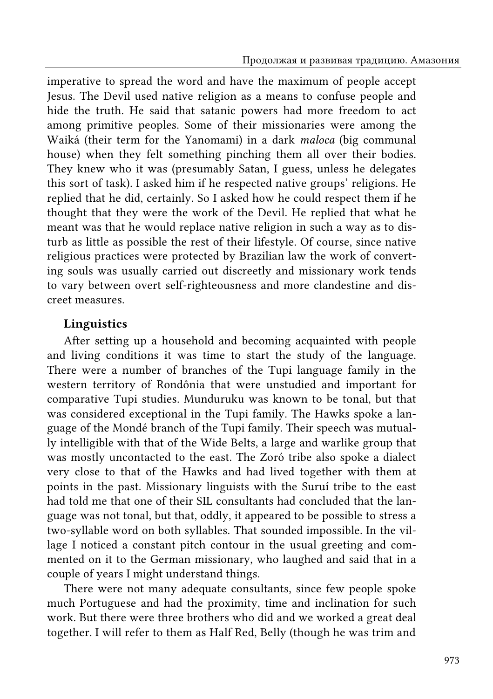should be advised to keep their behavior professional since it will be reported widely for years, in intimate detail. I kept waiting to enter into culture shock and discover that my initial fondness for the Hawks was misplaced. But after about three months it appeared that they really were as great as they seemed.

There was an impressive display of Hawk social control one day. A Hawk who was raised mostly away from the tribe had returned and was known to steal objects from others, though no one confronted him with this. Three men were working chopping out grass in a living area and the thief went to join them. They moved two meters away, without saying anything. He moved closer and they moved away another two meters and he finally stood by himself, working alone. When he left he said goodbye to each one, as one should do, and they just looked at him. When the Hawks are being cold to you you feel truly miserable. When they turn on the charm and affection there is no resisting. I was never sure to what extent I was making decisions and to what extent I was being astutely led by the Hawks to do what they wanted.

#### Where the Hawks lived then and their history

The Hawks lived in three main areas, each about 45 minutes from the others. On the post where the FUNAI staff lived there were two groups of houses, each group more or less centered on a leading man. The second area had a leading man who was a strong supporter of the church, which was located there. The third area, the Waterfall village, had the main shaman as its leading man. All the villages were on the banks of igarapés which flowed into the main igarapé. It was possible to go by boat to the nearest city, Vila de Rondônia, a town of perhaps 5.000–10.000 inhabitants, via the igarapé and then the Rio Machado, when there was sufficient water. If the igarapé was too low it was possible to walk 4–5 hours on a trail alongside the igarapé to reach the river, whose level did not drop so much. A popular radio broadcast included messages for people in the interior. So if the FUNAI agent needed to be met with mules to transport goods at the mouth of the igarapé on a certain date that would be broadcast and the motorist of the boat would go there as directed. To maximize working time and minimize expenses I tried to go out as seldom as possible, staying in the village for months at a time, though periodically it was necessary to go out to resupply, move my meager grant money around, and contact FUNAI and other Brazilian institutions. The department of Anthropology at the University of Brasília was my official base. They were very helpful, as was an American anthropologist who was in Brazil for a project with Gê groups.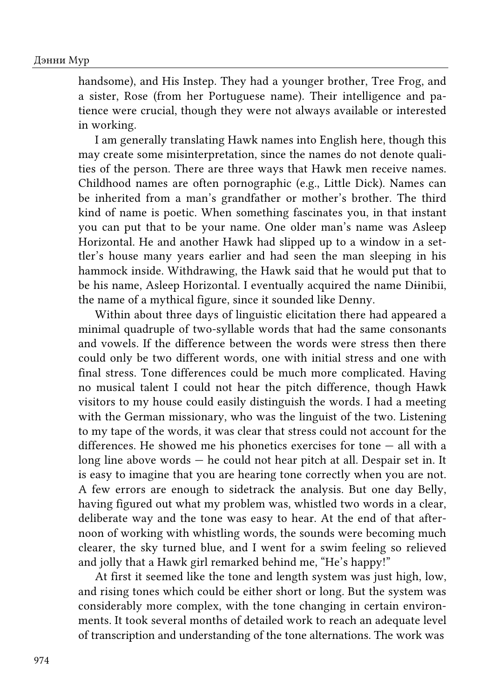There were about 135 Hawks on the reserve at that time. Their first sustained contacts with outsiders were with rubber tappers who were pulled into the forest to extract rubber for the war effort in the 1940s. Many Hawks had died from introduced diseases in the 1950s, though I did not get a quantitative estimate. One Hawk told me that his wife took medicine but died anyway at that time. I asked him what the medicine was and he replied that it was tea made from dried dog manure  $-$  a doubtful remedy used by the local settlers. The Hawks had attacked the neighboring Macaw tribe in 1958, having heard from a Hawk woman living among the Macaws that they planned to kill a Hawk named Wild Honey. The remaining Macaws fled to a seringal, a rubber plantation, and then ended up on another seringal owned by a man named Firmino, who kept them in debt slavery until a FUNAI agent brought them to the reserve. This FUNAI agent also exploited the Hawks, taking their production and repaying them with little. They figured this out and lowered production. Unlike the Macaws, the Hawks always stayed independent.

# The missionaries

The German missionary, of the New Tribes Mission, arrived about 1966 and set up a household and began work on the language, in spite of having only rudimentary training for this. He was, however, an excellent practical medic and helped stabilize health and end the population decline. An American missionary arrived later. In 1975 most of the Hawks had converted, though there were said to be some still interested in shamanism. One night one of the Hawks showed me a book of old woodcuts, I think by Albrecht Dürer, that portrayed souls being tortured in Hell. The missionaries showed that to the Hawks (at night, of course) to frighten them into becoming Christian. Another Hawk told me that in the past when he was sick the missionary had prayed with him and given him antibiotics. He said that he recovered and foolishly thought that it was the antibiotics that had helped when it really was the prayer. I observed to him that antibiotics seem to work fine for me and for others with no prayer.

Ф416

After I had been among the Hawks for a year another two missionaries arrived, one a Brazilian from Bahia and one a young Canadian. The Canadian explained his views to me one day and it became obvious that we were living in radically different worlds. He said that good works were OK, but that in order to escape from eternal damnation one had to accept Jesus. If that were done then you were probably safe. So it was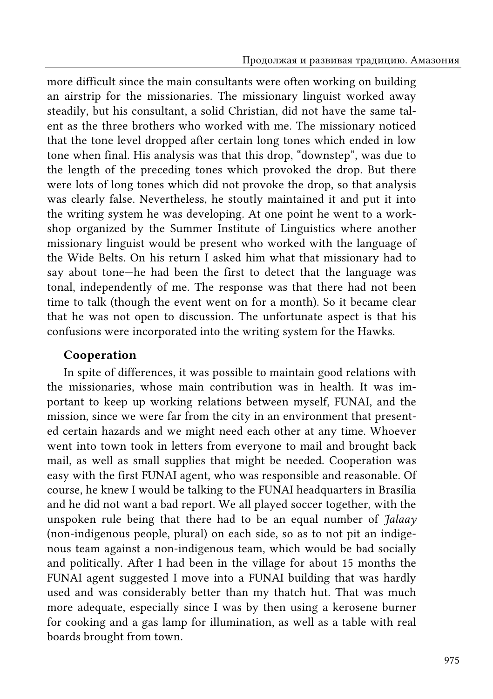imperative to spread the word and have the maximum of people accept Jesus. The Devil used native religion as a means to confuse people and hide the truth. He said that satanic powers had more freedom to act among primitive peoples. Some of their missionaries were among the Waiká (their term for the Yanomami) in a dark maloca (big communal house) when they felt something pinching them all over their bodies. They knew who it was (presumably Satan, I guess, unless he delegates this sort of task). I asked him if he respected native groups' religions. He replied that he did, certainly. So I asked how he could respect them if he thought that they were the work of the Devil. He replied that what he meant was that he would replace native religion in such a way as to disturb as little as possible the rest of their lifestyle. Of course, since native religious practices were protected by Brazilian law the work of converting souls was usually carried out discreetly and missionary work tends to vary between overt self-righteousness and more clandestine and discreet measures.

### Linguistics

After setting up a household and becoming acquainted with people and living conditions it was time to start the study of the language. There were a number of branches of the Tupi language family in the western territory of Rondônia that were unstudied and important for comparative Tupi studies. Munduruku was known to be tonal, but that was considered exceptional in the Tupi family. The Hawks spoke a language of the Mondé branch of the Tupi family. Their speech was mutually intelligible with that of the Wide Belts, a large and warlike group that was mostly uncontacted to the east. The Zoró tribe also spoke a dialect very close to that of the Hawks and had lived together with them at points in the past. Missionary linguists with the Suruí tribe to the east had told me that one of their SIL consultants had concluded that the language was not tonal, but that, oddly, it appeared to be possible to stress a two-syllable word on both syllables. That sounded impossible. In the village I noticed a constant pitch contour in the usual greeting and commented on it to the German missionary, who laughed and said that in a couple of years I might understand things.

There were not many adequate consultants, since few people spoke much Portuguese and had the proximity, time and inclination for such work. But there were three brothers who did and we worked a great deal together. I will refer to them as Half Red, Belly (though he was trim and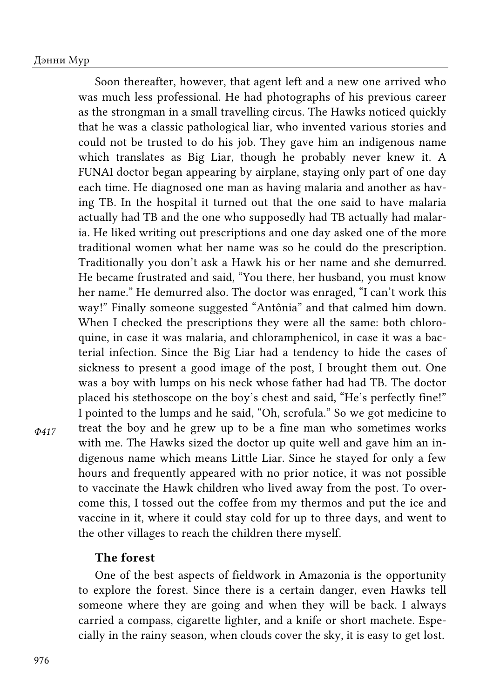handsome), and His Instep. They had a younger brother, Tree Frog, and a sister, Rose (from her Portuguese name). Their intelligence and patience were crucial, though they were not always available or interested in working.

I am generally translating Hawk names into English here, though this may create some misinterpretation, since the names do not denote qualities of the person. There are three ways that Hawk men receive names. Childhood names are often pornographic (e.g., Little Dick). Names can be inherited from a man's grandfather or mother's brother. The third kind of name is poetic. When something fascinates you, in that instant you can put that to be your name. One older man's name was Asleep Horizontal. He and another Hawk had slipped up to a window in a settler's house many years earlier and had seen the man sleeping in his hammock inside. Withdrawing, the Hawk said that he would put that to be his name, Asleep Horizontal. I eventually acquired the name Dɨɨnibii, the name of a mythical figure, since it sounded like Denny.

Within about three days of linguistic elicitation there had appeared a minimal quadruple of two-syllable words that had the same consonants and vowels. If the difference between the words were stress then there could only be two different words, one with initial stress and one with final stress. Tone differences could be much more complicated. Having no musical talent I could not hear the pitch difference, though Hawk visitors to my house could easily distinguish the words. I had a meeting with the German missionary, who was the linguist of the two. Listening to my tape of the words, it was clear that stress could not account for the differences. He showed me his phonetics exercises for tone  $-$  all with a long line above words — he could not hear pitch at all. Despair set in. It is easy to imagine that you are hearing tone correctly when you are not. A few errors are enough to sidetrack the analysis. But one day Belly, having figured out what my problem was, whistled two words in a clear, deliberate way and the tone was easy to hear. At the end of that afternoon of working with whistling words, the sounds were becoming much clearer, the sky turned blue, and I went for a swim feeling so relieved and jolly that a Hawk girl remarked behind me, "He's happy!"

At first it seemed like the tone and length system was just high, low, and rising tones which could be either short or long. But the system was considerably more complex, with the tone changing in certain environments. It took several months of detailed work to reach an adequate level of transcription and understanding of the tone alternations. The work was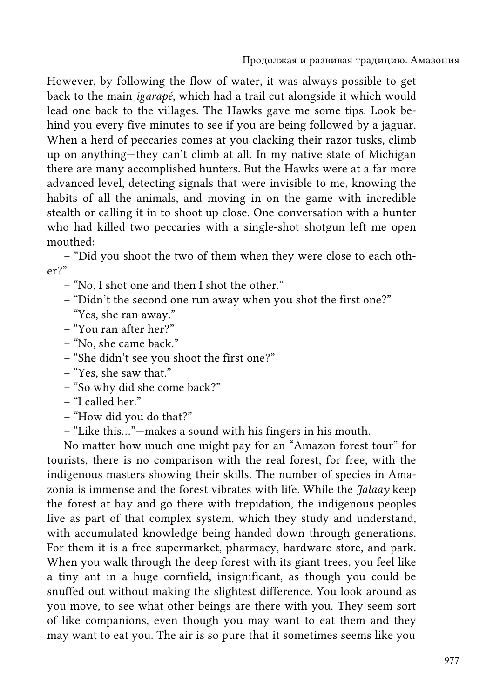more difficult since the main consultants were often working on building an airstrip for the missionaries. The missionary linguist worked away steadily, but his consultant, a solid Christian, did not have the same talent as the three brothers who worked with me. The missionary noticed that the tone level dropped after certain long tones which ended in low tone when final. His analysis was that this drop, "downstep", was due to the length of the preceding tones which provoked the drop. But there were lots of long tones which did not provoke the drop, so that analysis was clearly false. Nevertheless, he stoutly maintained it and put it into the writing system he was developing. At one point he went to a workshop organized by the Summer Institute of Linguistics where another missionary linguist would be present who worked with the language of the Wide Belts. On his return I asked him what that missionary had to say about tone—he had been the first to detect that the language was tonal, independently of me. The response was that there had not been time to talk (though the event went on for a month). So it became clear that he was not open to discussion. The unfortunate aspect is that his confusions were incorporated into the writing system for the Hawks.

# Cooperation

In spite of differences, it was possible to maintain good relations with the missionaries, whose main contribution was in health. It was important to keep up working relations between myself, FUNAI, and the mission, since we were far from the city in an environment that presented certain hazards and we might need each other at any time. Whoever went into town took in letters from everyone to mail and brought back mail, as well as small supplies that might be needed. Cooperation was easy with the first FUNAI agent, who was responsible and reasonable. Of course, he knew I would be talking to the FUNAI headquarters in Brasília and he did not want a bad report. We all played soccer together, with the unspoken rule being that there had to be an equal number of Jalaay (non-indigenous people, plural) on each side, so as to not pit an indigenous team against a non-indigenous team, which would be bad socially and politically. After I had been in the village for about 15 months the FUNAI agent suggested I move into a FUNAI building that was hardly used and was considerably better than my thatch hut. That was much more adequate, especially since I was by then using a kerosene burner for cooking and a gas lamp for illumination, as well as a table with real boards brought from town.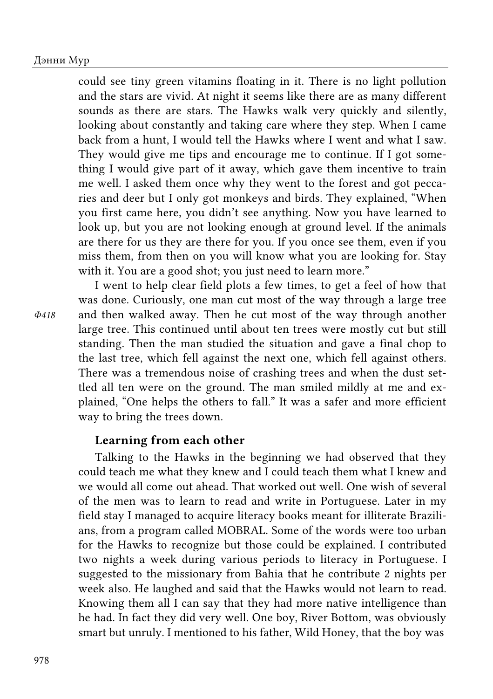#### Дэнни Мур

Soon thereafter, however, that agent left and a new one arrived who was much less professional. He had photographs of his previous career as the strongman in a small travelling circus. The Hawks noticed quickly that he was a classic pathological liar, who invented various stories and could not be trusted to do his job. They gave him an indigenous name which translates as Big Liar, though he probably never knew it. A FUNAI doctor began appearing by airplane, staying only part of one day each time. He diagnosed one man as having malaria and another as having TB. In the hospital it turned out that the one said to have malaria actually had TB and the one who supposedly had TB actually had malaria. He liked writing out prescriptions and one day asked one of the more traditional women what her name was so he could do the prescription. Traditionally you don't ask a Hawk his or her name and she demurred. He became frustrated and said, "You there, her husband, you must know her name." He demurred also. The doctor was enraged, "I can't work this way!" Finally someone suggested "Antônia" and that calmed him down. When I checked the prescriptions they were all the same: both chloroquine, in case it was malaria, and chloramphenicol, in case it was a bacterial infection. Since the Big Liar had a tendency to hide the cases of sickness to present a good image of the post, I brought them out. One was a boy with lumps on his neck whose father had had TB. The doctor placed his stethoscope on the boy's chest and said, "He's perfectly fine!" I pointed to the lumps and he said, "Oh, scrofula." So we got medicine to treat the boy and he grew up to be a fine man who sometimes works with me. The Hawks sized the doctor up quite well and gave him an indigenous name which means Little Liar. Since he stayed for only a few hours and frequently appeared with no prior notice, it was not possible to vaccinate the Hawk children who lived away from the post. To overcome this, I tossed out the coffee from my thermos and put the ice and vaccine in it, where it could stay cold for up to three days, and went to the other villages to reach the children there myself.

## The forest

One of the best aspects of fieldwork in Amazonia is the opportunity to explore the forest. Since there is a certain danger, even Hawks tell someone where they are going and when they will be back. I always carried a compass, cigarette lighter, and a knife or short machete. Especially in the rainy season, when clouds cover the sky, it is easy to get lost.

Ф417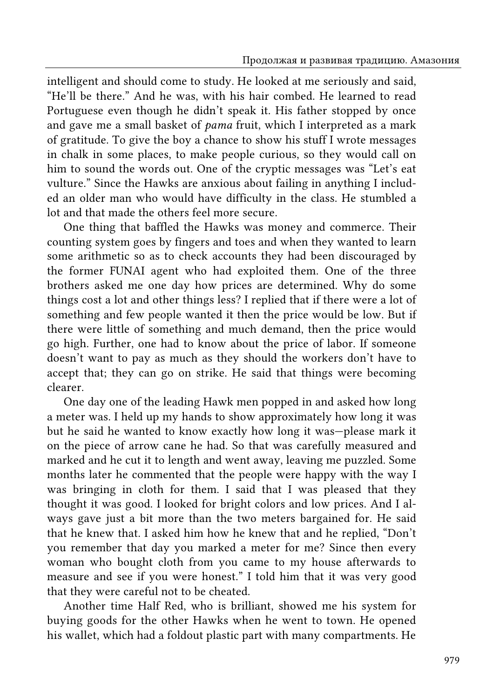However, by following the flow of water, it was always possible to get back to the main igarapé, which had a trail cut alongside it which would lead one back to the villages. The Hawks gave me some tips. Look behind you every five minutes to see if you are being followed by a jaguar. When a herd of peccaries comes at you clacking their razor tusks, climb up on anything—they can't climb at all. In my native state of Michigan there are many accomplished hunters. But the Hawks were at a far more advanced level, detecting signals that were invisible to me, knowing the habits of all the animals, and moving in on the game with incredible stealth or calling it in to shoot up close. One conversation with a hunter who had killed two peccaries with a single-shot shotgun left me open mouthed:

– "Did you shoot the two of them when they were close to each other?"

– "No, I shot one and then I shot the other."

– "Didn't the second one run away when you shot the first one?"

– "Yes, she ran away."

– "You ran after her?"

– "No, she came back."

– "She didn't see you shoot the first one?"

– "Yes, she saw that."

– "So why did she come back?"

– "I called her."

– "How did you do that?"

– "Like this…"—makes a sound with his fingers in his mouth.

No matter how much one might pay for an "Amazon forest tour" for tourists, there is no comparison with the real forest, for free, with the indigenous masters showing their skills. The number of species in Amazonia is immense and the forest vibrates with life. While the *Jalaay* keep the forest at bay and go there with trepidation, the indigenous peoples live as part of that complex system, which they study and understand, with accumulated knowledge being handed down through generations. For them it is a free supermarket, pharmacy, hardware store, and park. When you walk through the deep forest with its giant trees, you feel like a tiny ant in a huge cornfield, insignificant, as though you could be snuffed out without making the slightest difference. You look around as you move, to see what other beings are there with you. They seem sort of like companions, even though you may want to eat them and they may want to eat you. The air is so pure that it sometimes seems like you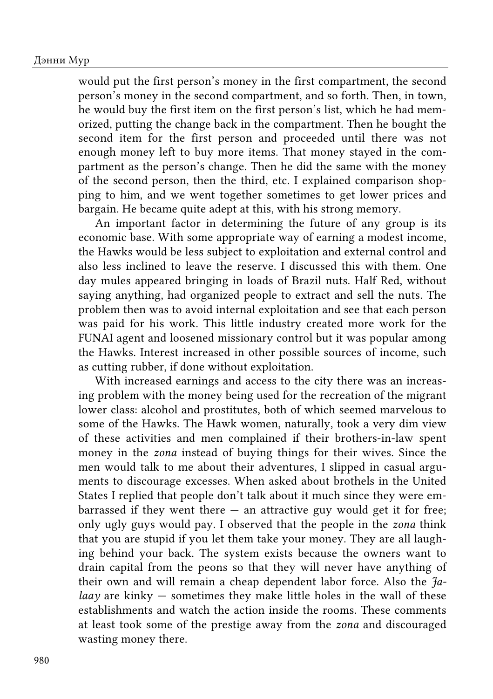could see tiny green vitamins floating in it. There is no light pollution and the stars are vivid. At night it seems like there are as many different sounds as there are stars. The Hawks walk very quickly and silently, looking about constantly and taking care where they step. When I came back from a hunt, I would tell the Hawks where I went and what I saw. They would give me tips and encourage me to continue. If I got something I would give part of it away, which gave them incentive to train me well. I asked them once why they went to the forest and got peccaries and deer but I only got monkeys and birds. They explained, "When you first came here, you didn't see anything. Now you have learned to look up, but you are not looking enough at ground level. If the animals are there for us they are there for you. If you once see them, even if you miss them, from then on you will know what you are looking for. Stay with it. You are a good shot; you just need to learn more."

Ф418

I went to help clear field plots a few times, to get a feel of how that was done. Curiously, one man cut most of the way through a large tree and then walked away. Then he cut most of the way through another large tree. This continued until about ten trees were mostly cut but still standing. Then the man studied the situation and gave a final chop to the last tree, which fell against the next one, which fell against others. There was a tremendous noise of crashing trees and when the dust settled all ten were on the ground. The man smiled mildly at me and explained, "One helps the others to fall." It was a safer and more efficient way to bring the trees down.

#### Learning from each other

Talking to the Hawks in the beginning we had observed that they could teach me what they knew and I could teach them what I knew and we would all come out ahead. That worked out well. One wish of several of the men was to learn to read and write in Portuguese. Later in my field stay I managed to acquire literacy books meant for illiterate Brazilians, from a program called MOBRAL. Some of the words were too urban for the Hawks to recognize but those could be explained. I contributed two nights a week during various periods to literacy in Portuguese. I suggested to the missionary from Bahia that he contribute 2 nights per week also. He laughed and said that the Hawks would not learn to read. Knowing them all I can say that they had more native intelligence than he had. In fact they did very well. One boy, River Bottom, was obviously smart but unruly. I mentioned to his father, Wild Honey, that the boy was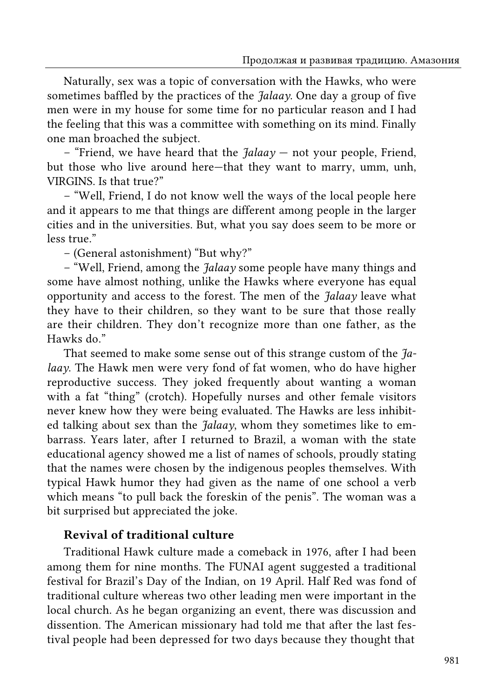intelligent and should come to study. He looked at me seriously and said, "He'll be there." And he was, with his hair combed. He learned to read Portuguese even though he didn't speak it. His father stopped by once and gave me a small basket of pama fruit, which I interpreted as a mark of gratitude. To give the boy a chance to show his stuff I wrote messages in chalk in some places, to make people curious, so they would call on him to sound the words out. One of the cryptic messages was "Let's eat vulture." Since the Hawks are anxious about failing in anything I included an older man who would have difficulty in the class. He stumbled a lot and that made the others feel more secure.

One thing that baffled the Hawks was money and commerce. Their counting system goes by fingers and toes and when they wanted to learn some arithmetic so as to check accounts they had been discouraged by the former FUNAI agent who had exploited them. One of the three brothers asked me one day how prices are determined. Why do some things cost a lot and other things less? I replied that if there were a lot of something and few people wanted it then the price would be low. But if there were little of something and much demand, then the price would go high. Further, one had to know about the price of labor. If someone doesn't want to pay as much as they should the workers don't have to accept that; they can go on strike. He said that things were becoming clearer.

One day one of the leading Hawk men popped in and asked how long a meter was. I held up my hands to show approximately how long it was but he said he wanted to know exactly how long it was—please mark it on the piece of arrow cane he had. So that was carefully measured and marked and he cut it to length and went away, leaving me puzzled. Some months later he commented that the people were happy with the way I was bringing in cloth for them. I said that I was pleased that they thought it was good. I looked for bright colors and low prices. And I always gave just a bit more than the two meters bargained for. He said that he knew that. I asked him how he knew that and he replied, "Don't you remember that day you marked a meter for me? Since then every woman who bought cloth from you came to my house afterwards to measure and see if you were honest." I told him that it was very good that they were careful not to be cheated.

Another time Half Red, who is brilliant, showed me his system for buying goods for the other Hawks when he went to town. He opened his wallet, which had a foldout plastic part with many compartments. He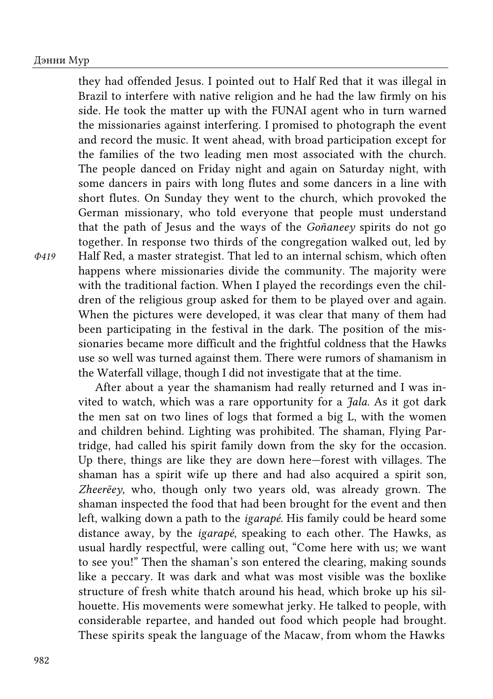#### Дэнни Мур

would put the first person's money in the first compartment, the second person's money in the second compartment, and so forth. Then, in town, he would buy the first item on the first person's list, which he had memorized, putting the change back in the compartment. Then he bought the second item for the first person and proceeded until there was not enough money left to buy more items. That money stayed in the compartment as the person's change. Then he did the same with the money of the second person, then the third, etc. I explained comparison shopping to him, and we went together sometimes to get lower prices and bargain. He became quite adept at this, with his strong memory.

An important factor in determining the future of any group is its economic base. With some appropriate way of earning a modest income, the Hawks would be less subject to exploitation and external control and also less inclined to leave the reserve. I discussed this with them. One day mules appeared bringing in loads of Brazil nuts. Half Red, without saying anything, had organized people to extract and sell the nuts. The problem then was to avoid internal exploitation and see that each person was paid for his work. This little industry created more work for the FUNAI agent and loosened missionary control but it was popular among the Hawks. Interest increased in other possible sources of income, such as cutting rubber, if done without exploitation.

With increased earnings and access to the city there was an increasing problem with the money being used for the recreation of the migrant lower class: alcohol and prostitutes, both of which seemed marvelous to some of the Hawks. The Hawk women, naturally, took a very dim view of these activities and men complained if their brothers-in-law spent money in the zona instead of buying things for their wives. Since the men would talk to me about their adventures, I slipped in casual arguments to discourage excesses. When asked about brothels in the United States I replied that people don't talk about it much since they were embarrassed if they went there  $-$  an attractive guy would get it for free; only ugly guys would pay. I observed that the people in the zona think that you are stupid if you let them take your money. They are all laughing behind your back. The system exists because the owners want to drain capital from the peons so that they will never have anything of their own and will remain a cheap dependent labor force. Also the  $a$  $laay$  are kinky  $-$  sometimes they make little holes in the wall of these establishments and watch the action inside the rooms. These comments at least took some of the prestige away from the zona and discouraged wasting money there.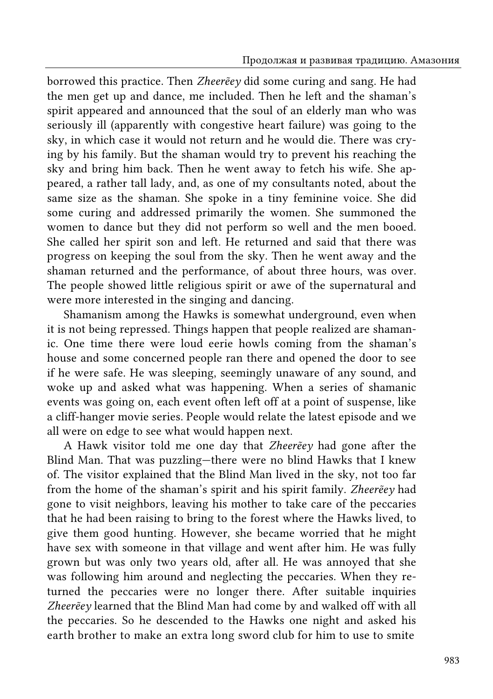Naturally, sex was a topic of conversation with the Hawks, who were sometimes baffled by the practices of the  $\eta$ alaay. One day a group of five men were in my house for some time for no particular reason and I had the feeling that this was a committee with something on its mind. Finally one man broached the subject.

– "Friend, we have heard that the  $\frac{d}{d}$  alaay – not your people, Friend, but those who live around here—that they want to marry, umm, unh, VIRGINS. Is that true?"

– "Well, Friend, I do not know well the ways of the local people here and it appears to me that things are different among people in the larger cities and in the universities. But, what you say does seem to be more or less true."

– (General astonishment) "But why?"

 $-$  "Well, Friend, among the *Jalaay* some people have many things and some have almost nothing, unlike the Hawks where everyone has equal opportunity and access to the forest. The men of the Jalaay leave what they have to their children, so they want to be sure that those really are their children. They don't recognize more than one father, as the Hawks do."

That seemed to make some sense out of this strange custom of the  $\tilde{a}$ laay. The Hawk men were very fond of fat women, who do have higher reproductive success. They joked frequently about wanting a woman with a fat "thing" (crotch). Hopefully nurses and other female visitors never knew how they were being evaluated. The Hawks are less inhibited talking about sex than the *Jalaay*, whom they sometimes like to embarrass. Years later, after I returned to Brazil, a woman with the state educational agency showed me a list of names of schools, proudly stating that the names were chosen by the indigenous peoples themselves. With typical Hawk humor they had given as the name of one school a verb which means "to pull back the foreskin of the penis". The woman was a bit surprised but appreciated the joke.

#### Revival of traditional culture

Traditional Hawk culture made a comeback in 1976, after I had been among them for nine months. The FUNAI agent suggested a traditional festival for Brazil's Day of the Indian, on 19 April. Half Red was fond of traditional culture whereas two other leading men were important in the local church. As he began organizing an event, there was discussion and dissention. The American missionary had told me that after the last festival people had been depressed for two days because they thought that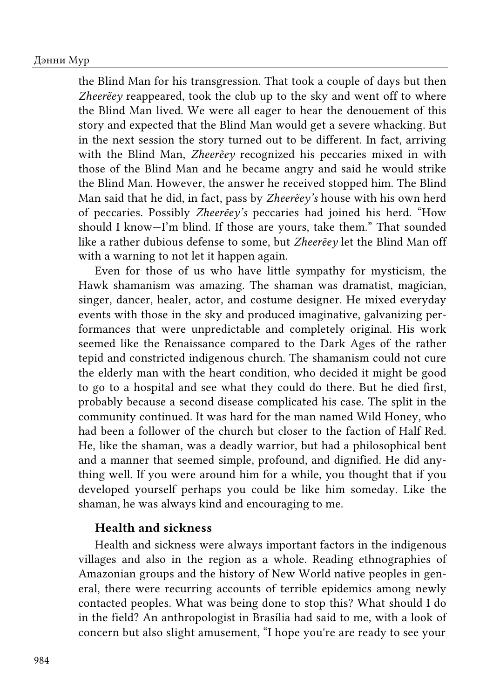they had offended Jesus. I pointed out to Half Red that it was illegal in Brazil to interfere with native religion and he had the law firmly on his side. He took the matter up with the FUNAI agent who in turn warned the missionaries against interfering. I promised to photograph the event and record the music. It went ahead, with broad participation except for the families of the two leading men most associated with the church. The people danced on Friday night and again on Saturday night, with some dancers in pairs with long flutes and some dancers in a line with short flutes. On Sunday they went to the church, which provoked the German missionary, who told everyone that people must understand that the path of Jesus and the ways of the Goñaneey spirits do not go together. In response two thirds of the congregation walked out, led by Half Red, a master strategist. That led to an internal schism, which often happens where missionaries divide the community. The majority were with the traditional faction. When I played the recordings even the children of the religious group asked for them to be played over and again. When the pictures were developed, it was clear that many of them had been participating in the festival in the dark. The position of the missionaries became more difficult and the frightful coldness that the Hawks use so well was turned against them. There were rumors of shamanism in the Waterfall village, though I did not investigate that at the time.

After about a year the shamanism had really returned and I was invited to watch, which was a rare opportunity for a *Jala*. As it got dark the men sat on two lines of logs that formed a big L, with the women and children behind. Lighting was prohibited. The shaman, Flying Partridge, had called his spirit family down from the sky for the occasion. Up there, things are like they are down here—forest with villages. The shaman has a spirit wife up there and had also acquired a spirit son, Zheerẽey, who, though only two years old, was already grown. The shaman inspected the food that had been brought for the event and then left, walking down a path to the igarapé. His family could be heard some distance away, by the igarapé, speaking to each other. The Hawks, as usual hardly respectful, were calling out, "Come here with us; we want to see you!" Then the shaman's son entered the clearing, making sounds like a peccary. It was dark and what was most visible was the boxlike structure of fresh white thatch around his head, which broke up his silhouette. His movements were somewhat jerky. He talked to people, with considerable repartee, and handed out food which people had brought. These spirits speak the language of the Macaw, from whom the Hawks

Ф419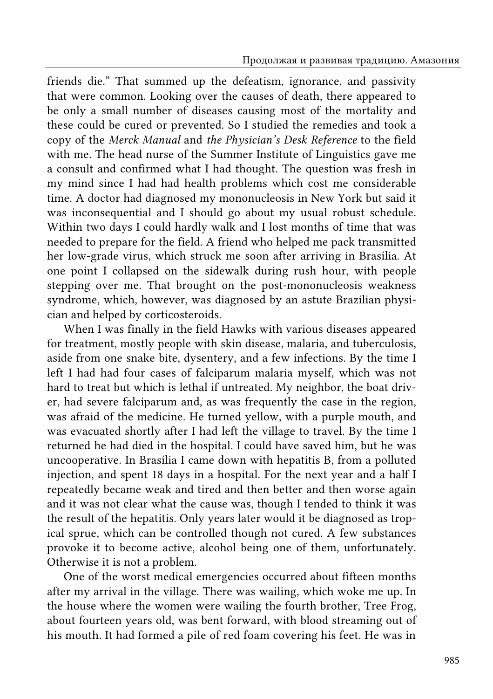borrowed this practice. Then Zheerẽey did some curing and sang. He had the men get up and dance, me included. Then he left and the shaman's spirit appeared and announced that the soul of an elderly man who was seriously ill (apparently with congestive heart failure) was going to the sky, in which case it would not return and he would die. There was crying by his family. But the shaman would try to prevent his reaching the sky and bring him back. Then he went away to fetch his wife. She appeared, a rather tall lady, and, as one of my consultants noted, about the same size as the shaman. She spoke in a tiny feminine voice. She did some curing and addressed primarily the women. She summoned the women to dance but they did not perform so well and the men booed. She called her spirit son and left. He returned and said that there was progress on keeping the soul from the sky. Then he went away and the shaman returned and the performance, of about three hours, was over. The people showed little religious spirit or awe of the supernatural and were more interested in the singing and dancing.

Shamanism among the Hawks is somewhat underground, even when it is not being repressed. Things happen that people realized are shamanic. One time there were loud eerie howls coming from the shaman's house and some concerned people ran there and opened the door to see if he were safe. He was sleeping, seemingly unaware of any sound, and woke up and asked what was happening. When a series of shamanic events was going on, each event often left off at a point of suspense, like a cliff-hanger movie series. People would relate the latest episode and we all were on edge to see what would happen next.

A Hawk visitor told me one day that Zheerẽey had gone after the Blind Man. That was puzzling—there were no blind Hawks that I knew of. The visitor explained that the Blind Man lived in the sky, not too far from the home of the shaman's spirit and his spirit family. Zheerẽey had gone to visit neighbors, leaving his mother to take care of the peccaries that he had been raising to bring to the forest where the Hawks lived, to give them good hunting. However, she became worried that he might have sex with someone in that village and went after him. He was fully grown but was only two years old, after all. He was annoyed that she was following him around and neglecting the peccaries. When they returned the peccaries were no longer there. After suitable inquiries Zheerẽey learned that the Blind Man had come by and walked off with all the peccaries. So he descended to the Hawks one night and asked his earth brother to make an extra long sword club for him to use to smite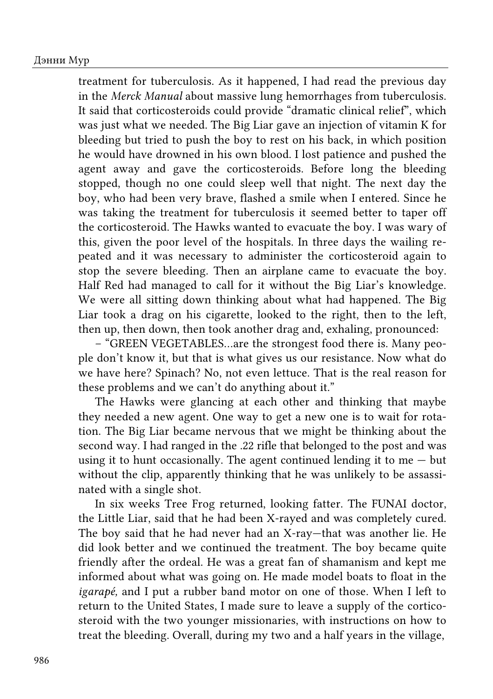the Blind Man for his transgression. That took a couple of days but then Zheerẽey reappeared, took the club up to the sky and went off to where the Blind Man lived. We were all eager to hear the denouement of this story and expected that the Blind Man would get a severe whacking. But in the next session the story turned out to be different. In fact, arriving with the Blind Man, Zheerẽey recognized his peccaries mixed in with those of the Blind Man and he became angry and said he would strike the Blind Man. However, the answer he received stopped him. The Blind Man said that he did, in fact, pass by Zheereey's house with his own herd of peccaries. Possibly Zheerẽey's peccaries had joined his herd. "How should I know—I'm blind. If those are yours, take them." That sounded like a rather dubious defense to some, but Zheerẽey let the Blind Man off with a warning to not let it happen again.

Even for those of us who have little sympathy for mysticism, the Hawk shamanism was amazing. The shaman was dramatist, magician, singer, dancer, healer, actor, and costume designer. He mixed everyday events with those in the sky and produced imaginative, galvanizing performances that were unpredictable and completely original. His work seemed like the Renaissance compared to the Dark Ages of the rather tepid and constricted indigenous church. The shamanism could not cure the elderly man with the heart condition, who decided it might be good to go to a hospital and see what they could do there. But he died first, probably because a second disease complicated his case. The split in the community continued. It was hard for the man named Wild Honey, who had been a follower of the church but closer to the faction of Half Red. He, like the shaman, was a deadly warrior, but had a philosophical bent and a manner that seemed simple, profound, and dignified. He did anything well. If you were around him for a while, you thought that if you developed yourself perhaps you could be like him someday. Like the shaman, he was always kind and encouraging to me.

#### Health and sickness

Health and sickness were always important factors in the indigenous villages and also in the region as a whole. Reading ethnographies of Amazonian groups and the history of New World native peoples in general, there were recurring accounts of terrible epidemics among newly contacted peoples. What was being done to stop this? What should I do in the field? An anthropologist in Brasília had said to me, with a look of concern but also slight amusement, "I hope you're are ready to see your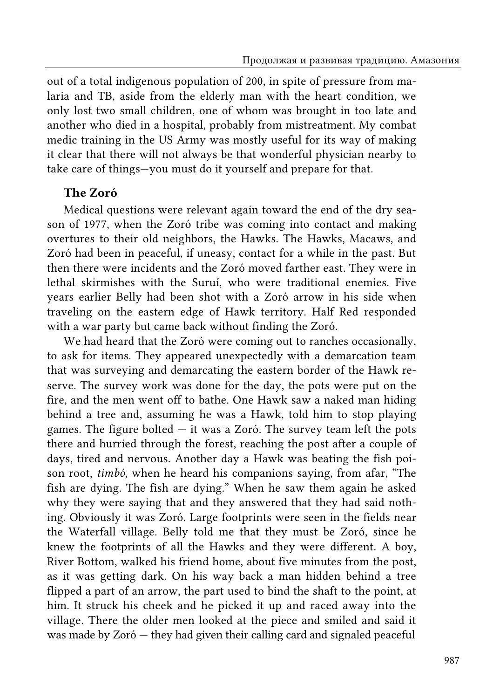friends die." That summed up the defeatism, ignorance, and passivity that were common. Looking over the causes of death, there appeared to be only a small number of diseases causing most of the mortality and these could be cured or prevented. So I studied the remedies and took a copy of the Merck Manual and the Physician's Desk Reference to the field with me. The head nurse of the Summer Institute of Linguistics gave me a consult and confirmed what I had thought. The question was fresh in my mind since I had had health problems which cost me considerable time. A doctor had diagnosed my mononucleosis in New York but said it was inconsequential and I should go about my usual robust schedule. Within two days I could hardly walk and I lost months of time that was needed to prepare for the field. A friend who helped me pack transmitted her low-grade virus, which struck me soon after arriving in Brasília. At one point I collapsed on the sidewalk during rush hour, with people stepping over me. That brought on the post-mononucleosis weakness syndrome, which, however, was diagnosed by an astute Brazilian physician and helped by corticosteroids.

When I was finally in the field Hawks with various diseases appeared for treatment, mostly people with skin disease, malaria, and tuberculosis, aside from one snake bite, dysentery, and a few infections. By the time I left I had had four cases of falciparum malaria myself, which was not hard to treat but which is lethal if untreated. My neighbor, the boat driver, had severe falciparum and, as was frequently the case in the region, was afraid of the medicine. He turned yellow, with a purple mouth, and was evacuated shortly after I had left the village to travel. By the time I returned he had died in the hospital. I could have saved him, but he was uncooperative. In Brasília I came down with hepatitis B, from a polluted injection, and spent 18 days in a hospital. For the next year and a half I repeatedly became weak and tired and then better and then worse again and it was not clear what the cause was, though I tended to think it was the result of the hepatitis. Only years later would it be diagnosed as tropical sprue, which can be controlled though not cured. A few substances provoke it to become active, alcohol being one of them, unfortunately. Otherwise it is not a problem.

One of the worst medical emergencies occurred about fifteen months after my arrival in the village. There was wailing, which woke me up. In the house where the women were wailing the fourth brother, Tree Frog, about fourteen years old, was bent forward, with blood streaming out of his mouth. It had formed a pile of red foam covering his feet. He was in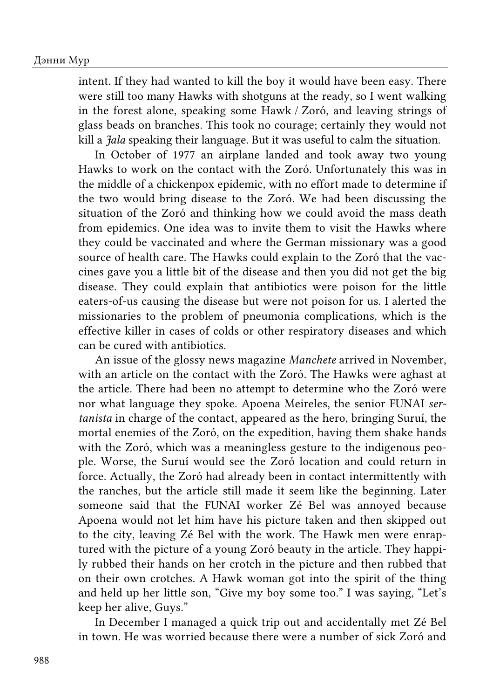#### Дэнни Мур

treatment for tuberculosis. As it happened, I had read the previous day in the Merck Manual about massive lung hemorrhages from tuberculosis. It said that corticosteroids could provide "dramatic clinical relief", which was just what we needed. The Big Liar gave an injection of vitamin K for bleeding but tried to push the boy to rest on his back, in which position he would have drowned in his own blood. I lost patience and pushed the agent away and gave the corticosteroids. Before long the bleeding stopped, though no one could sleep well that night. The next day the boy, who had been very brave, flashed a smile when I entered. Since he was taking the treatment for tuberculosis it seemed better to taper off the corticosteroid. The Hawks wanted to evacuate the boy. I was wary of this, given the poor level of the hospitals. In three days the wailing repeated and it was necessary to administer the corticosteroid again to stop the severe bleeding. Then an airplane came to evacuate the boy. Half Red had managed to call for it without the Big Liar's knowledge. We were all sitting down thinking about what had happened. The Big Liar took a drag on his cigarette, looked to the right, then to the left, then up, then down, then took another drag and, exhaling, pronounced:

– "GREEN VEGETABLES…are the strongest food there is. Many people don't know it, but that is what gives us our resistance. Now what do we have here? Spinach? No, not even lettuce. That is the real reason for these problems and we can't do anything about it."

The Hawks were glancing at each other and thinking that maybe they needed a new agent. One way to get a new one is to wait for rotation. The Big Liar became nervous that we might be thinking about the second way. I had ranged in the .22 rifle that belonged to the post and was using it to hunt occasionally. The agent continued lending it to me  $-$  but without the clip, apparently thinking that he was unlikely to be assassinated with a single shot.

In six weeks Tree Frog returned, looking fatter. The FUNAI doctor, the Little Liar, said that he had been X-rayed and was completely cured. The boy said that he had never had an X-ray—that was another lie. He did look better and we continued the treatment. The boy became quite friendly after the ordeal. He was a great fan of shamanism and kept me informed about what was going on. He made model boats to float in the igarapé, and I put a rubber band motor on one of those. When I left to return to the United States, I made sure to leave a supply of the corticosteroid with the two younger missionaries, with instructions on how to treat the bleeding. Overall, during my two and a half years in the village,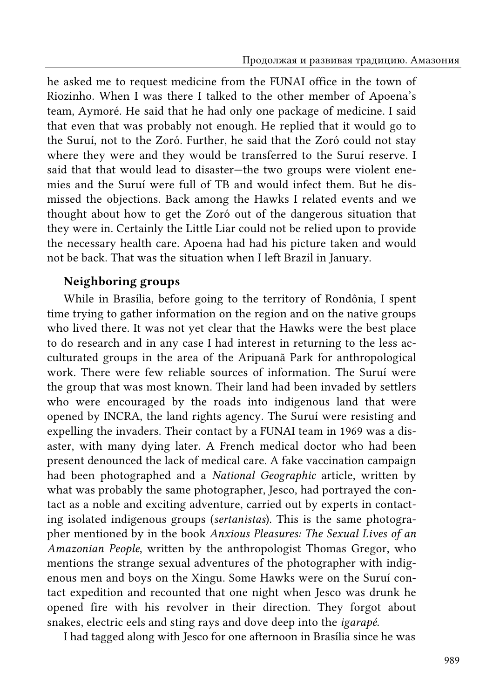out of a total indigenous population of 200, in spite of pressure from malaria and TB, aside from the elderly man with the heart condition, we only lost two small children, one of whom was brought in too late and another who died in a hospital, probably from mistreatment. My combat medic training in the US Army was mostly useful for its way of making it clear that there will not always be that wonderful physician nearby to take care of things—you must do it yourself and prepare for that.

# The Zoró

Medical questions were relevant again toward the end of the dry season of 1977, when the Zoró tribe was coming into contact and making overtures to their old neighbors, the Hawks. The Hawks, Macaws, and Zoró had been in peaceful, if uneasy, contact for a while in the past. But then there were incidents and the Zoró moved farther east. They were in lethal skirmishes with the Suruí, who were traditional enemies. Five years earlier Belly had been shot with a Zoró arrow in his side when traveling on the eastern edge of Hawk territory. Half Red responded with a war party but came back without finding the Zoró.

We had heard that the Zoró were coming out to ranches occasionally, to ask for items. They appeared unexpectedly with a demarcation team that was surveying and demarcating the eastern border of the Hawk reserve. The survey work was done for the day, the pots were put on the fire, and the men went off to bathe. One Hawk saw a naked man hiding behind a tree and, assuming he was a Hawk, told him to stop playing games. The figure bolted — it was a Zoró. The survey team left the pots there and hurried through the forest, reaching the post after a couple of days, tired and nervous. Another day a Hawk was beating the fish poison root, timbó, when he heard his companions saying, from afar, "The fish are dying. The fish are dying." When he saw them again he asked why they were saying that and they answered that they had said nothing. Obviously it was Zoró. Large footprints were seen in the fields near the Waterfall village. Belly told me that they must be Zoró, since he knew the footprints of all the Hawks and they were different. A boy, River Bottom, walked his friend home, about five minutes from the post, as it was getting dark. On his way back a man hidden behind a tree flipped a part of an arrow, the part used to bind the shaft to the point, at him. It struck his cheek and he picked it up and raced away into the village. There the older men looked at the piece and smiled and said it was made by Zoró — they had given their calling card and signaled peaceful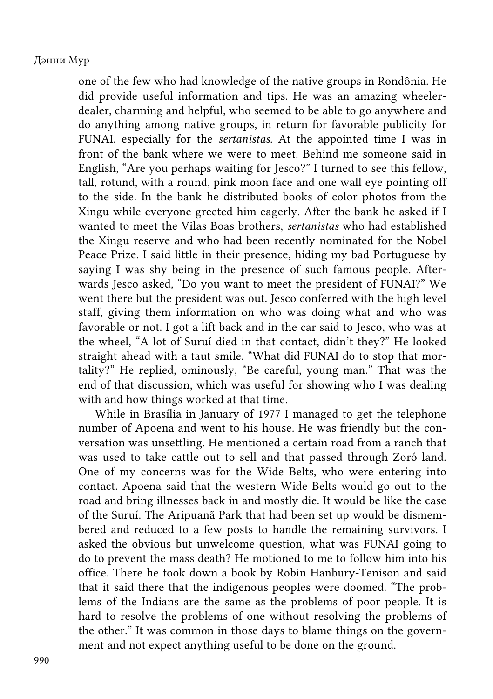intent. If they had wanted to kill the boy it would have been easy. There were still too many Hawks with shotguns at the ready, so I went walking in the forest alone, speaking some Hawk / Zoró, and leaving strings of glass beads on branches. This took no courage; certainly they would not kill a *Jala* speaking their language. But it was useful to calm the situation.

In October of 1977 an airplane landed and took away two young Hawks to work on the contact with the Zoró. Unfortunately this was in the middle of a chickenpox epidemic, with no effort made to determine if the two would bring disease to the Zoró. We had been discussing the situation of the Zoró and thinking how we could avoid the mass death from epidemics. One idea was to invite them to visit the Hawks where they could be vaccinated and where the German missionary was a good source of health care. The Hawks could explain to the Zoró that the vaccines gave you a little bit of the disease and then you did not get the big disease. They could explain that antibiotics were poison for the little eaters-of-us causing the disease but were not poison for us. I alerted the missionaries to the problem of pneumonia complications, which is the effective killer in cases of colds or other respiratory diseases and which can be cured with antibiotics.

An issue of the glossy news magazine Manchete arrived in November, with an article on the contact with the Zoró. The Hawks were aghast at the article. There had been no attempt to determine who the Zoró were nor what language they spoke. Apoena Meireles, the senior FUNAI sertanista in charge of the contact, appeared as the hero, bringing Suruí, the mortal enemies of the Zoró, on the expedition, having them shake hands with the Zoró, which was a meaningless gesture to the indigenous people. Worse, the Suruí would see the Zoró location and could return in force. Actually, the Zoró had already been in contact intermittently with the ranches, but the article still made it seem like the beginning. Later someone said that the FUNAI worker Zé Bel was annoyed because Apoena would not let him have his picture taken and then skipped out to the city, leaving Zé Bel with the work. The Hawk men were enraptured with the picture of a young Zoró beauty in the article. They happily rubbed their hands on her crotch in the picture and then rubbed that on their own crotches. A Hawk woman got into the spirit of the thing and held up her little son, "Give my boy some too." I was saying, "Let's keep her alive, Guys."

In December I managed a quick trip out and accidentally met Zé Bel in town. He was worried because there were a number of sick Zoró and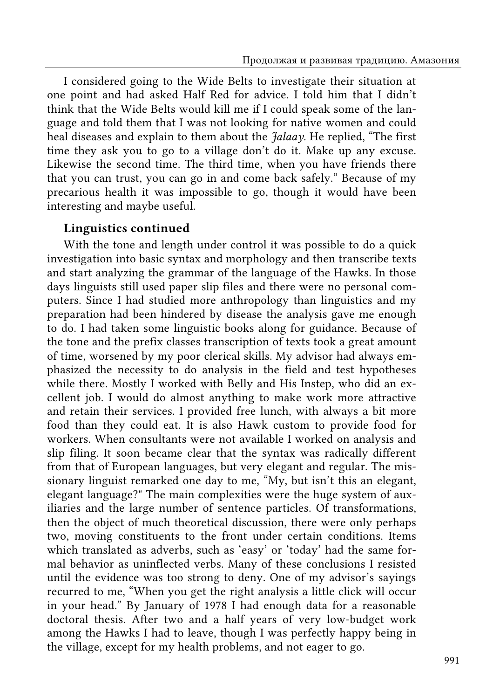he asked me to request medicine from the FUNAI office in the town of Riozinho. When I was there I talked to the other member of Apoena's team, Aymoré. He said that he had only one package of medicine. I said that even that was probably not enough. He replied that it would go to the Suruí, not to the Zoró. Further, he said that the Zoró could not stay where they were and they would be transferred to the Suruí reserve. I said that that would lead to disaster—the two groups were violent enemies and the Suruí were full of TB and would infect them. But he dismissed the objections. Back among the Hawks I related events and we thought about how to get the Zoró out of the dangerous situation that they were in. Certainly the Little Liar could not be relied upon to provide the necessary health care. Apoena had had his picture taken and would not be back. That was the situation when I left Brazil in January.

# Neighboring groups

While in Brasília, before going to the territory of Rondônia, I spent time trying to gather information on the region and on the native groups who lived there. It was not yet clear that the Hawks were the best place to do research and in any case I had interest in returning to the less acculturated groups in the area of the Aripuanã Park for anthropological work. There were few reliable sources of information. The Suruí were the group that was most known. Their land had been invaded by settlers who were encouraged by the roads into indigenous land that were opened by INCRA, the land rights agency. The Suruí were resisting and expelling the invaders. Their contact by a FUNAI team in 1969 was a disaster, with many dying later. A French medical doctor who had been present denounced the lack of medical care. A fake vaccination campaign had been photographed and a National Geographic article, written by what was probably the same photographer, Jesco, had portrayed the contact as a noble and exciting adventure, carried out by experts in contacting isolated indigenous groups (sertanistas). This is the same photographer mentioned by in the book Anxious Pleasures: The Sexual Lives of an Amazonian People, written by the anthropologist Thomas Gregor, who mentions the strange sexual adventures of the photographer with indigenous men and boys on the Xingu. Some Hawks were on the Suruí contact expedition and recounted that one night when Jesco was drunk he opened fire with his revolver in their direction. They forgot about snakes, electric eels and sting rays and dove deep into the igarapé.

I had tagged along with Jesco for one afternoon in Brasília since he was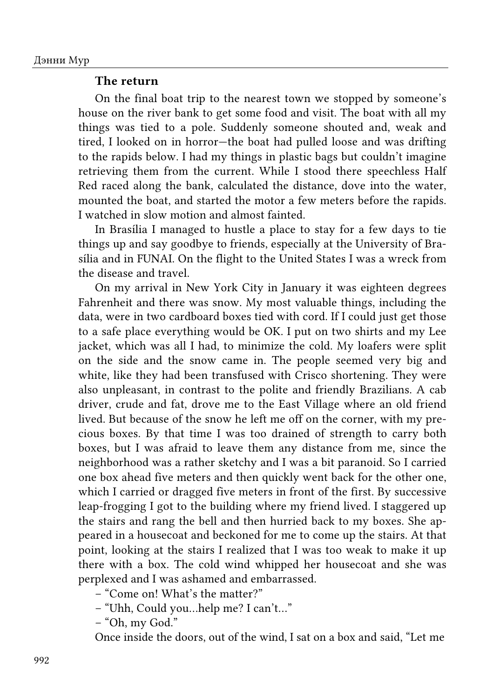one of the few who had knowledge of the native groups in Rondônia. He did provide useful information and tips. He was an amazing wheelerdealer, charming and helpful, who seemed to be able to go anywhere and do anything among native groups, in return for favorable publicity for FUNAI, especially for the sertanistas. At the appointed time I was in front of the bank where we were to meet. Behind me someone said in English, "Are you perhaps waiting for Jesco?" I turned to see this fellow, tall, rotund, with a round, pink moon face and one wall eye pointing off to the side. In the bank he distributed books of color photos from the Xingu while everyone greeted him eagerly. After the bank he asked if I wanted to meet the Vilas Boas brothers, sertanistas who had established the Xingu reserve and who had been recently nominated for the Nobel Peace Prize. I said little in their presence, hiding my bad Portuguese by saying I was shy being in the presence of such famous people. Afterwards Jesco asked, "Do you want to meet the president of FUNAI?" We went there but the president was out. Jesco conferred with the high level staff, giving them information on who was doing what and who was favorable or not. I got a lift back and in the car said to Jesco, who was at the wheel, "A lot of Suruí died in that contact, didn't they?" He looked straight ahead with a taut smile. "What did FUNAI do to stop that mortality?" He replied, ominously, "Be careful, young man." That was the end of that discussion, which was useful for showing who I was dealing with and how things worked at that time.

While in Brasília in January of 1977 I managed to get the telephone number of Apoena and went to his house. He was friendly but the conversation was unsettling. He mentioned a certain road from a ranch that was used to take cattle out to sell and that passed through Zoró land. One of my concerns was for the Wide Belts, who were entering into contact. Apoena said that the western Wide Belts would go out to the road and bring illnesses back in and mostly die. It would be like the case of the Suruí. The Aripuanã Park that had been set up would be dismembered and reduced to a few posts to handle the remaining survivors. I asked the obvious but unwelcome question, what was FUNAI going to do to prevent the mass death? He motioned to me to follow him into his office. There he took down a book by Robin Hanbury-Tenison and said that it said there that the indigenous peoples were doomed. "The problems of the Indians are the same as the problems of poor people. It is hard to resolve the problems of one without resolving the problems of the other." It was common in those days to blame things on the government and not expect anything useful to be done on the ground.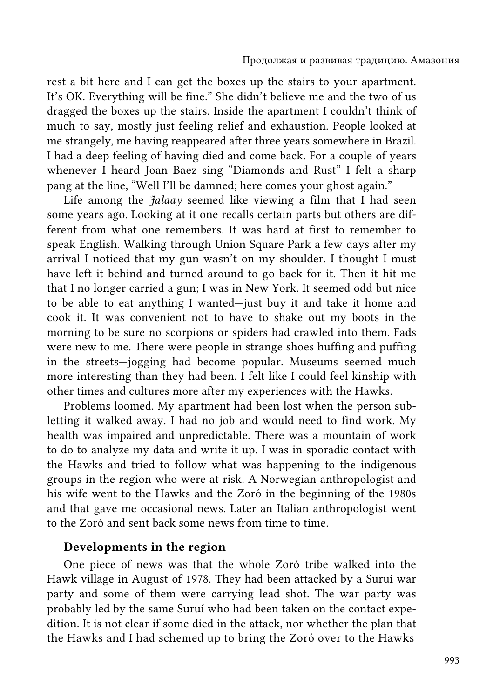I considered going to the Wide Belts to investigate their situation at one point and had asked Half Red for advice. I told him that I didn't think that the Wide Belts would kill me if I could speak some of the language and told them that I was not looking for native women and could heal diseases and explain to them about the *Jalaav*. He replied, "The first time they ask you to go to a village don't do it. Make up any excuse. Likewise the second time. The third time, when you have friends there that you can trust, you can go in and come back safely." Because of my precarious health it was impossible to go, though it would have been interesting and maybe useful.

#### Linguistics continued

With the tone and length under control it was possible to do a quick investigation into basic syntax and morphology and then transcribe texts and start analyzing the grammar of the language of the Hawks. In those days linguists still used paper slip files and there were no personal computers. Since I had studied more anthropology than linguistics and my preparation had been hindered by disease the analysis gave me enough to do. I had taken some linguistic books along for guidance. Because of the tone and the prefix classes transcription of texts took a great amount of time, worsened by my poor clerical skills. My advisor had always emphasized the necessity to do analysis in the field and test hypotheses while there. Mostly I worked with Belly and His Instep, who did an excellent job. I would do almost anything to make work more attractive and retain their services. I provided free lunch, with always a bit more food than they could eat. It is also Hawk custom to provide food for workers. When consultants were not available I worked on analysis and slip filing. It soon became clear that the syntax was radically different from that of European languages, but very elegant and regular. The missionary linguist remarked one day to me, "My, but isn't this an elegant, elegant language?" The main complexities were the huge system of auxiliaries and the large number of sentence particles. Of transformations, then the object of much theoretical discussion, there were only perhaps two, moving constituents to the front under certain conditions. Items which translated as adverbs, such as 'easy' or 'today' had the same formal behavior as uninflected verbs. Many of these conclusions I resisted until the evidence was too strong to deny. One of my advisor's sayings recurred to me, "When you get the right analysis a little click will occur in your head." By January of 1978 I had enough data for a reasonable doctoral thesis. After two and a half years of very low-budget work among the Hawks I had to leave, though I was perfectly happy being in the village, except for my health problems, and not eager to go.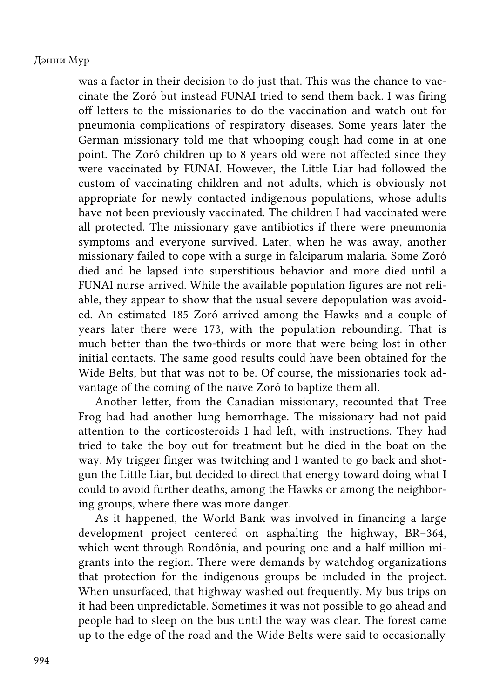#### The return

On the final boat trip to the nearest town we stopped by someone's house on the river bank to get some food and visit. The boat with all my things was tied to a pole. Suddenly someone shouted and, weak and tired, I looked on in horror—the boat had pulled loose and was drifting to the rapids below. I had my things in plastic bags but couldn't imagine retrieving them from the current. While I stood there speechless Half Red raced along the bank, calculated the distance, dove into the water, mounted the boat, and started the motor a few meters before the rapids. I watched in slow motion and almost fainted.

In Brasília I managed to hustle a place to stay for a few days to tie things up and say goodbye to friends, especially at the University of Brasília and in FUNAI. On the flight to the United States I was a wreck from the disease and travel.

On my arrival in New York City in January it was eighteen degrees Fahrenheit and there was snow. My most valuable things, including the data, were in two cardboard boxes tied with cord. If I could just get those to a safe place everything would be OK. I put on two shirts and my Lee jacket, which was all I had, to minimize the cold. My loafers were split on the side and the snow came in. The people seemed very big and white, like they had been transfused with Crisco shortening. They were also unpleasant, in contrast to the polite and friendly Brazilians. A cab driver, crude and fat, drove me to the East Village where an old friend lived. But because of the snow he left me off on the corner, with my precious boxes. By that time I was too drained of strength to carry both boxes, but I was afraid to leave them any distance from me, since the neighborhood was a rather sketchy and I was a bit paranoid. So I carried one box ahead five meters and then quickly went back for the other one, which I carried or dragged five meters in front of the first. By successive leap-frogging I got to the building where my friend lived. I staggered up the stairs and rang the bell and then hurried back to my boxes. She appeared in a housecoat and beckoned for me to come up the stairs. At that point, looking at the stairs I realized that I was too weak to make it up there with a box. The cold wind whipped her housecoat and she was perplexed and I was ashamed and embarrassed.

– "Come on! What's the matter?"

– "Uhh, Could you…help me? I can't…"

– "Oh, my God."

Once inside the doors, out of the wind, I sat on a box and said, "Let me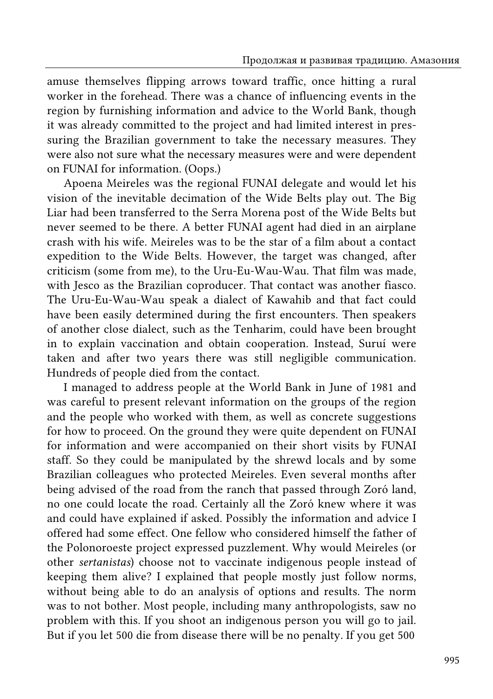rest a bit here and I can get the boxes up the stairs to your apartment. It's OK. Everything will be fine." She didn't believe me and the two of us dragged the boxes up the stairs. Inside the apartment I couldn't think of much to say, mostly just feeling relief and exhaustion. People looked at me strangely, me having reappeared after three years somewhere in Brazil. I had a deep feeling of having died and come back. For a couple of years whenever I heard Joan Baez sing "Diamonds and Rust" I felt a sharp pang at the line, "Well I'll be damned; here comes your ghost again."

Life among the *Jalaay* seemed like viewing a film that I had seen some years ago. Looking at it one recalls certain parts but others are different from what one remembers. It was hard at first to remember to speak English. Walking through Union Square Park a few days after my arrival I noticed that my gun wasn't on my shoulder. I thought I must have left it behind and turned around to go back for it. Then it hit me that I no longer carried a gun; I was in New York. It seemed odd but nice to be able to eat anything I wanted—just buy it and take it home and cook it. It was convenient not to have to shake out my boots in the morning to be sure no scorpions or spiders had crawled into them. Fads were new to me. There were people in strange shoes huffing and puffing in the streets—jogging had become popular. Museums seemed much more interesting than they had been. I felt like I could feel kinship with other times and cultures more after my experiences with the Hawks.

Problems loomed. My apartment had been lost when the person subletting it walked away. I had no job and would need to find work. My health was impaired and unpredictable. There was a mountain of work to do to analyze my data and write it up. I was in sporadic contact with the Hawks and tried to follow what was happening to the indigenous groups in the region who were at risk. A Norwegian anthropologist and his wife went to the Hawks and the Zoró in the beginning of the 1980s and that gave me occasional news. Later an Italian anthropologist went to the Zoró and sent back some news from time to time.

#### Developments in the region

One piece of news was that the whole Zoró tribe walked into the Hawk village in August of 1978. They had been attacked by a Suruí war party and some of them were carrying lead shot. The war party was probably led by the same Suruí who had been taken on the contact expedition. It is not clear if some died in the attack, nor whether the plan that the Hawks and I had schemed up to bring the Zoró over to the Hawks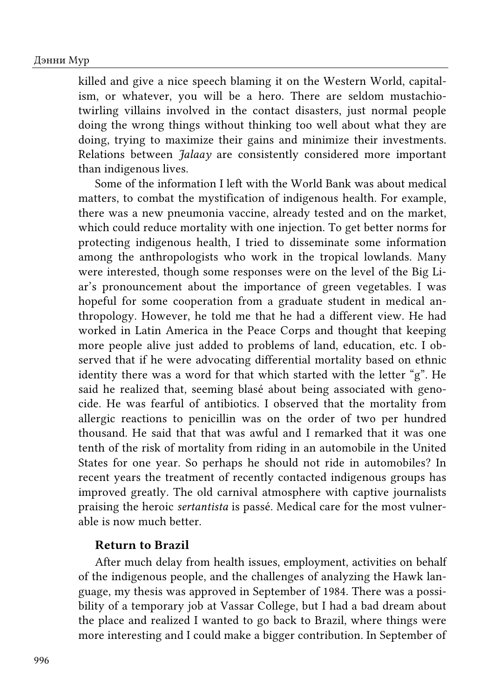#### Дэнни Мур

was a factor in their decision to do just that. This was the chance to vaccinate the Zoró but instead FUNAI tried to send them back. I was firing off letters to the missionaries to do the vaccination and watch out for pneumonia complications of respiratory diseases. Some years later the German missionary told me that whooping cough had come in at one point. The Zoró children up to 8 years old were not affected since they were vaccinated by FUNAI. However, the Little Liar had followed the custom of vaccinating children and not adults, which is obviously not appropriate for newly contacted indigenous populations, whose adults have not been previously vaccinated. The children I had vaccinated were all protected. The missionary gave antibiotics if there were pneumonia symptoms and everyone survived. Later, when he was away, another missionary failed to cope with a surge in falciparum malaria. Some Zoró died and he lapsed into superstitious behavior and more died until a FUNAI nurse arrived. While the available population figures are not reliable, they appear to show that the usual severe depopulation was avoided. An estimated 185 Zoró arrived among the Hawks and a couple of years later there were 173, with the population rebounding. That is much better than the two-thirds or more that were being lost in other initial contacts. The same good results could have been obtained for the Wide Belts, but that was not to be. Of course, the missionaries took advantage of the coming of the naïve Zoró to baptize them all.

Another letter, from the Canadian missionary, recounted that Tree Frog had had another lung hemorrhage. The missionary had not paid attention to the corticosteroids I had left, with instructions. They had tried to take the boy out for treatment but he died in the boat on the way. My trigger finger was twitching and I wanted to go back and shotgun the Little Liar, but decided to direct that energy toward doing what I could to avoid further deaths, among the Hawks or among the neighboring groups, where there was more danger.

As it happened, the World Bank was involved in financing a large development project centered on asphalting the highway, BR–364, which went through Rondônia, and pouring one and a half million migrants into the region. There were demands by watchdog organizations that protection for the indigenous groups be included in the project. When unsurfaced, that highway washed out frequently. My bus trips on it had been unpredictable. Sometimes it was not possible to go ahead and people had to sleep on the bus until the way was clear. The forest came up to the edge of the road and the Wide Belts were said to occasionally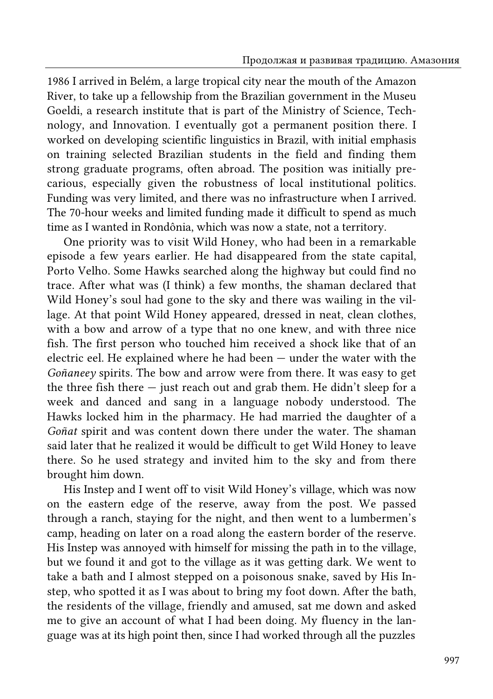amuse themselves flipping arrows toward traffic, once hitting a rural worker in the forehead. There was a chance of influencing events in the region by furnishing information and advice to the World Bank, though it was already committed to the project and had limited interest in pressuring the Brazilian government to take the necessary measures. They were also not sure what the necessary measures were and were dependent on FUNAI for information. (Oops.)

Apoena Meireles was the regional FUNAI delegate and would let his vision of the inevitable decimation of the Wide Belts play out. The Big Liar had been transferred to the Serra Morena post of the Wide Belts but never seemed to be there. A better FUNAI agent had died in an airplane crash with his wife. Meireles was to be the star of a film about a contact expedition to the Wide Belts. However, the target was changed, after criticism (some from me), to the Uru-Eu-Wau-Wau. That film was made, with Jesco as the Brazilian coproducer. That contact was another fiasco. The Uru-Eu-Wau-Wau speak a dialect of Kawahib and that fact could have been easily determined during the first encounters. Then speakers of another close dialect, such as the Tenharim, could have been brought in to explain vaccination and obtain cooperation. Instead, Suruí were taken and after two years there was still negligible communication. Hundreds of people died from the contact.

I managed to address people at the World Bank in June of 1981 and was careful to present relevant information on the groups of the region and the people who worked with them, as well as concrete suggestions for how to proceed. On the ground they were quite dependent on FUNAI for information and were accompanied on their short visits by FUNAI staff. So they could be manipulated by the shrewd locals and by some Brazilian colleagues who protected Meireles. Even several months after being advised of the road from the ranch that passed through Zoró land, no one could locate the road. Certainly all the Zoró knew where it was and could have explained if asked. Possibly the information and advice I offered had some effect. One fellow who considered himself the father of the Polonoroeste project expressed puzzlement. Why would Meireles (or other sertanistas) choose not to vaccinate indigenous people instead of keeping them alive? I explained that people mostly just follow norms, without being able to do an analysis of options and results. The norm was to not bother. Most people, including many anthropologists, saw no problem with this. If you shoot an indigenous person you will go to jail. But if you let 500 die from disease there will be no penalty. If you get 500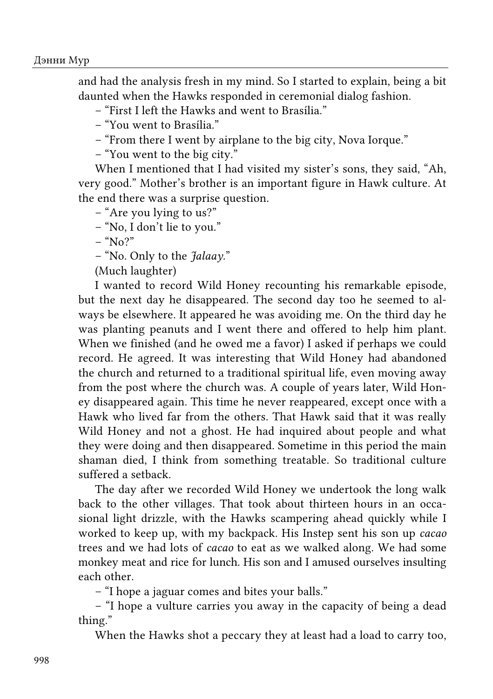#### Дэнни Мур

killed and give a nice speech blaming it on the Western World, capitalism, or whatever, you will be a hero. There are seldom mustachiotwirling villains involved in the contact disasters, just normal people doing the wrong things without thinking too well about what they are doing, trying to maximize their gains and minimize their investments. Relations between *Jalaay* are consistently considered more important than indigenous lives.

Some of the information I left with the World Bank was about medical matters, to combat the mystification of indigenous health. For example, there was a new pneumonia vaccine, already tested and on the market, which could reduce mortality with one injection. To get better norms for protecting indigenous health, I tried to disseminate some information among the anthropologists who work in the tropical lowlands. Many were interested, though some responses were on the level of the Big Liar's pronouncement about the importance of green vegetables. I was hopeful for some cooperation from a graduate student in medical anthropology. However, he told me that he had a different view. He had worked in Latin America in the Peace Corps and thought that keeping more people alive just added to problems of land, education, etc. I observed that if he were advocating differential mortality based on ethnic identity there was a word for that which started with the letter "g". He said he realized that, seeming blasé about being associated with genocide. He was fearful of antibiotics. I observed that the mortality from allergic reactions to penicillin was on the order of two per hundred thousand. He said that that was awful and I remarked that it was one tenth of the risk of mortality from riding in an automobile in the United States for one year. So perhaps he should not ride in automobiles? In recent years the treatment of recently contacted indigenous groups has improved greatly. The old carnival atmosphere with captive journalists praising the heroic sertantista is passé. Medical care for the most vulnerable is now much better.

# Return to Brazil

After much delay from health issues, employment, activities on behalf of the indigenous people, and the challenges of analyzing the Hawk language, my thesis was approved in September of 1984. There was a possibility of a temporary job at Vassar College, but I had a bad dream about the place and realized I wanted to go back to Brazil, where things were more interesting and I could make a bigger contribution. In September of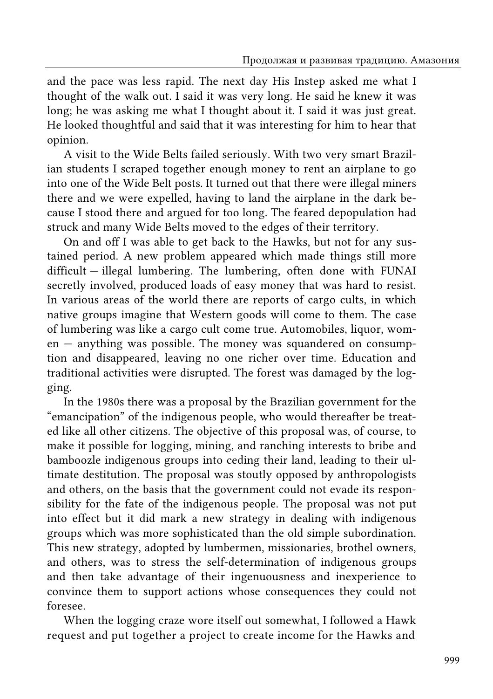1986 I arrived in Belém, a large tropical city near the mouth of the Amazon River, to take up a fellowship from the Brazilian government in the Museu Goeldi, a research institute that is part of the Ministry of Science, Technology, and Innovation. I eventually got a permanent position there. I worked on developing scientific linguistics in Brazil, with initial emphasis on training selected Brazilian students in the field and finding them strong graduate programs, often abroad. The position was initially precarious, especially given the robustness of local institutional politics. Funding was very limited, and there was no infrastructure when I arrived. The 70-hour weeks and limited funding made it difficult to spend as much time as I wanted in Rondônia, which was now a state, not a territory.

One priority was to visit Wild Honey, who had been in a remarkable episode a few years earlier. He had disappeared from the state capital, Porto Velho. Some Hawks searched along the highway but could find no trace. After what was (I think) a few months, the shaman declared that Wild Honey's soul had gone to the sky and there was wailing in the village. At that point Wild Honey appeared, dressed in neat, clean clothes, with a bow and arrow of a type that no one knew, and with three nice fish. The first person who touched him received a shock like that of an electric eel. He explained where he had been — under the water with the Goñaneey spirits. The bow and arrow were from there. It was easy to get the three fish there — just reach out and grab them. He didn't sleep for a week and danced and sang in a language nobody understood. The Hawks locked him in the pharmacy. He had married the daughter of a Goñat spirit and was content down there under the water. The shaman said later that he realized it would be difficult to get Wild Honey to leave there. So he used strategy and invited him to the sky and from there brought him down.

His Instep and I went off to visit Wild Honey's village, which was now on the eastern edge of the reserve, away from the post. We passed through a ranch, staying for the night, and then went to a lumbermen's camp, heading on later on a road along the eastern border of the reserve. His Instep was annoyed with himself for missing the path in to the village, but we found it and got to the village as it was getting dark. We went to take a bath and I almost stepped on a poisonous snake, saved by His Instep, who spotted it as I was about to bring my foot down. After the bath, the residents of the village, friendly and amused, sat me down and asked me to give an account of what I had been doing. My fluency in the language was at its high point then, since I had worked through all the puzzles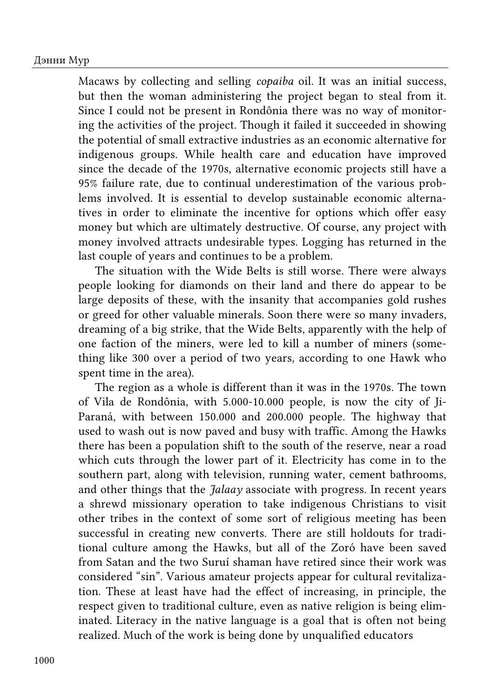and had the analysis fresh in my mind. So I started to explain, being a bit daunted when the Hawks responded in ceremonial dialog fashion.

– "First I left the Hawks and went to Brasília."

– "You went to Brasília."

– "From there I went by airplane to the big city, Nova Iorque."

– "You went to the big city."

When I mentioned that I had visited my sister's sons, they said, "Ah, very good." Mother's brother is an important figure in Hawk culture. At the end there was a surprise question.

– "Are you lying to us?"

– "No, I don't lie to you."

 $-$  "No?"

– "No. Only to the Jalaay."

(Much laughter)

I wanted to record Wild Honey recounting his remarkable episode, but the next day he disappeared. The second day too he seemed to always be elsewhere. It appeared he was avoiding me. On the third day he was planting peanuts and I went there and offered to help him plant. When we finished (and he owed me a favor) I asked if perhaps we could record. He agreed. It was interesting that Wild Honey had abandoned the church and returned to a traditional spiritual life, even moving away from the post where the church was. A couple of years later, Wild Honey disappeared again. This time he never reappeared, except once with a Hawk who lived far from the others. That Hawk said that it was really Wild Honey and not a ghost. He had inquired about people and what they were doing and then disappeared. Sometime in this period the main shaman died, I think from something treatable. So traditional culture suffered a setback.

The day after we recorded Wild Honey we undertook the long walk back to the other villages. That took about thirteen hours in an occasional light drizzle, with the Hawks scampering ahead quickly while I worked to keep up, with my backpack. His Instep sent his son up cacao trees and we had lots of cacao to eat as we walked along. We had some monkey meat and rice for lunch. His son and I amused ourselves insulting each other.

– "I hope a jaguar comes and bites your balls."

– "I hope a vulture carries you away in the capacity of being a dead thing."

When the Hawks shot a peccary they at least had a load to carry too,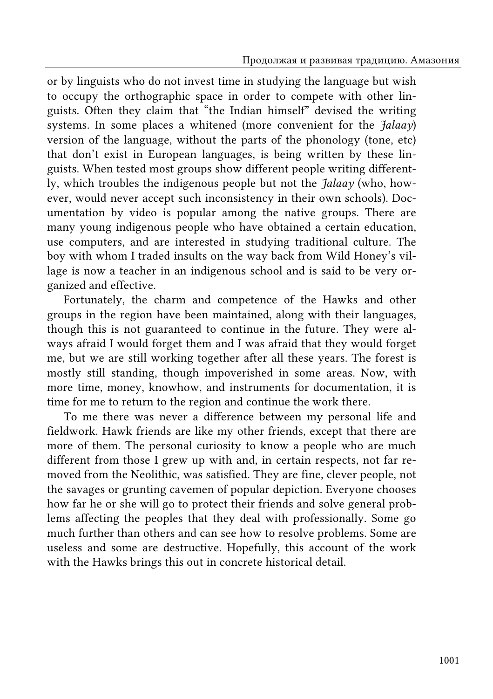and the pace was less rapid. The next day His Instep asked me what I thought of the walk out. I said it was very long. He said he knew it was long; he was asking me what I thought about it. I said it was just great. He looked thoughtful and said that it was interesting for him to hear that opinion.

A visit to the Wide Belts failed seriously. With two very smart Brazilian students I scraped together enough money to rent an airplane to go into one of the Wide Belt posts. It turned out that there were illegal miners there and we were expelled, having to land the airplane in the dark because I stood there and argued for too long. The feared depopulation had struck and many Wide Belts moved to the edges of their territory.

On and off I was able to get back to the Hawks, but not for any sustained period. A new problem appeared which made things still more difficult — illegal lumbering. The lumbering, often done with FUNAI secretly involved, produced loads of easy money that was hard to resist. In various areas of the world there are reports of cargo cults, in which native groups imagine that Western goods will come to them. The case of lumbering was like a cargo cult come true. Automobiles, liquor, women — anything was possible. The money was squandered on consumption and disappeared, leaving no one richer over time. Education and traditional activities were disrupted. The forest was damaged by the logging.

In the 1980s there was a proposal by the Brazilian government for the "emancipation" of the indigenous people, who would thereafter be treated like all other citizens. The objective of this proposal was, of course, to make it possible for logging, mining, and ranching interests to bribe and bamboozle indigenous groups into ceding their land, leading to their ultimate destitution. The proposal was stoutly opposed by anthropologists and others, on the basis that the government could not evade its responsibility for the fate of the indigenous people. The proposal was not put into effect but it did mark a new strategy in dealing with indigenous groups which was more sophisticated than the old simple subordination. This new strategy, adopted by lumbermen, missionaries, brothel owners, and others, was to stress the self-determination of indigenous groups and then take advantage of their ingenuousness and inexperience to convince them to support actions whose consequences they could not foresee.

When the logging craze wore itself out somewhat, I followed a Hawk request and put together a project to create income for the Hawks and